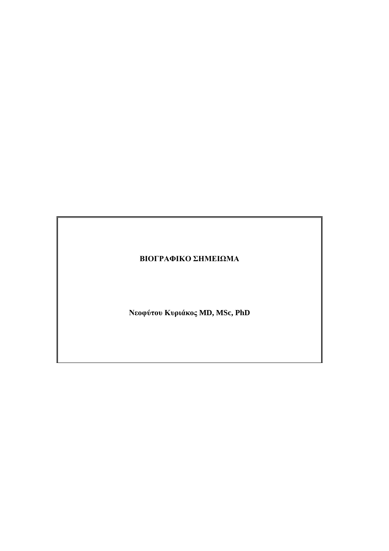# **ΒΙΟΓΡΑΦΙΚΟ ΣΗΜΕΙΩΜΑ**

**Νεοφύτου Κυριάκος MD, MSc, PhD**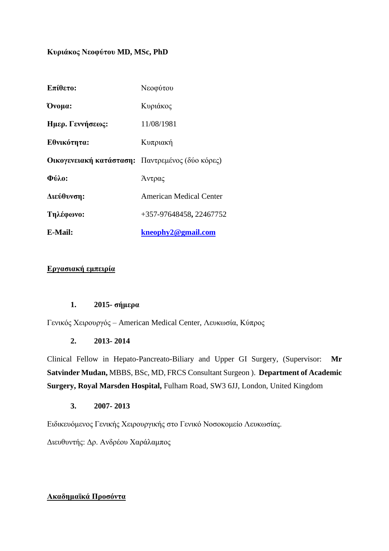#### **Κυριάκος Νεοφύτου MD, MSc, PhD**

| Επίθετο:                                        | Νεοφύτου                |
|-------------------------------------------------|-------------------------|
| Ovoua:                                          | Κυριάκος                |
| Ημερ. Γεννήσεως:                                | 11/08/1981              |
| Εθνικότητα:                                     | Κυπριακή                |
| Οικογενειακή κατάσταση: Παντρεμένος (δύο κόρες) |                         |
| Фύλο:                                           | Άντρας                  |
| Διεύθυνση:                                      | American Medical Center |
| Τηλέφωνο:                                       | +357-97648458, 22467752 |
| E-Mail:                                         | kneophy2@gmail.com      |

### **Εργασιακή εμπειρία**

#### **1. 2015- σήμερα**

Γενικός Χειρουργός – American Medical Center, Λευκωσία, Κύπρος

#### **2. 2013- 2014**

Clinical Fellow in Hepato-Pancreato-Biliary and Upper GI Surgery, (Supervisor: **Mr Satvinder Mudan,** MBBS, BSc, MD, FRCS Consultant Surgeon ). **Department of Academic Surgery, Royal Marsden Hospital,** Fulham Road, SW3 6JJ, London, United Kingdom

#### **3. 2007- 2013**

Ειδικευόμενος Γενικής Χειρουργικής στο Γενικό Νοσοκομείο Λευκωσίας.

Διευθυντής: Δρ. Ανδρέου Χαράλαμπος

#### **Ακαδημαϊκά Προσόντα**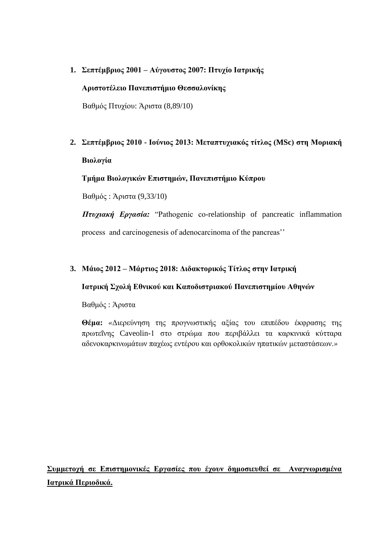### **1. Σεπτέμβριος 2001 – Αύγουστος 2007: Πτυχίο Ιατρικής**

#### **Αριστοτέλειο Πανεπιστήμιο Θεσσαλονίκης**

Βαθμός Πτυχίου: Άριστα (8,89/10)

# **2. Σεπτέμβριος 2010 - Ιούνιος 2013: Μεταπτυχιακός τίτλος (MSc) στη Μοριακή Βιολογία**

#### **Τμήμα Βιολογικών Επιστημών, Πανεπιστήμιο Κύπρου**

Βαθμός : Άριστα (9,33/10)

*Πτυχιακή Εργασία:* "Pathogenic co-relationship of pancreatic inflammation process and carcinogenesis of adenocarcinoma of the pancreas''

#### **3. Μάιος 2012 – Μάρτιος 2018: Διδακτορικός Τίτλος στην Ιατρική**

#### **Ιατρική Σχολή Εθνικού και Καποδιστριακού Πανεπιστημίου Αθηνών**

Βαθμός : Άριστα

**Θέμα:** *«*Διερεύνηση της προγνωστικής αξίας του επιπέδου έκφρασης της πρωτεΐνης Caveolin-1 στο στρώμα που περιβάλλει τα καρκινικά κύτταρα αδενοκαρκινωμάτων παχέως εντέρου και ορθοκολικών ηπατικών μεταστάσεων.*»*

**Συμμετοχή σε Επιστημονικές Εργασίες που έχουν δημοσιευθεί σε Αναγνωρισμένα Ιατρικά Περιοδικά.**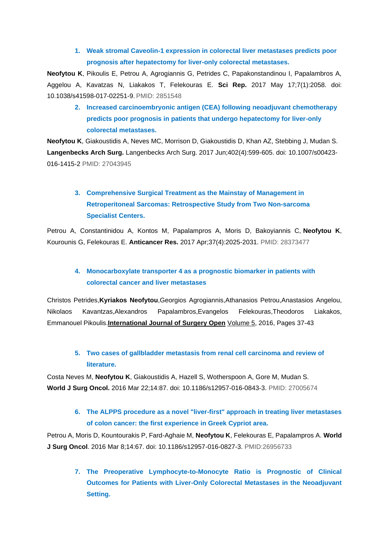### **1. Weak stromal Caveolin-1 expression in colorectal liver metastases predicts poor prognosis after hepatectomy for liver-only colorectal metastases.**

**Neofytou K**, Pikoulis E, Petrou A, Agrogiannis G, Petrides C, Papakonstandinou I, Papalambros A, Aggelou A, Kavatzas N, Liakakos T, Felekouras E. **Sci Rep.** 2017 May 17;7(1):2058. doi: 10.1038/s41598-017-02251-9. PMID: 2851548

**2. Increased carcinoembryonic antigen (CEA) following neoadjuvant chemotherapy predicts poor prognosis in patients that undergo hepatectomy for liver-only colorectal metastases.** 

**Neofytou K**, Giakoustidis A, Neves MC, Morrison D, Giakoustidis D, Khan AZ, Stebbing J, Mudan S. **Langenbecks Arch Surg.** Langenbecks Arch Surg. 2017 Jun;402(4):599-605. doi: 10.1007/s00423- 016-1415-2 PMID: 27043945

# **3. Comprehensive Surgical Treatment as the Mainstay of Management in Retroperitoneal Sarcomas: Retrospective Study from Two Non-sarcoma Specialist Centers.**

Petrou A, Constantinidou A, Kontos M, Papalampros A, Moris D, Bakoyiannis C, **Neofytou K**, Kourounis G, Felekouras E. **Anticancer Res.** 2017 Apr;37(4):2025-2031. PMID: 28373477

### **4. Monocarboxylate transporter 4 as a prognostic biomarker in patients with colorectal cancer and liver metastases**

Christos [Petrides,](http://www.sciencedirect.com/science/article/pii/S2405857216300365#!)**Kyriakos [Neofytou](http://www.sciencedirect.com/science/article/pii/S2405857216300365#!)**,Georgios [Agrogiannis,Athanasios](http://www.sciencedirect.com/science/article/pii/S2405857216300365#!) Petrou[,Anastasios](http://www.sciencedirect.com/science/article/pii/S2405857216300365#!) Angelou, Nikolaos [Kavantzas,](http://www.sciencedirect.com/science/article/pii/S2405857216300365#!)Alexandros [Papalambros,](http://www.sciencedirect.com/science/article/pii/S2405857216300365#!)Evangelos [Felekouras,Theodoros](http://www.sciencedirect.com/science/article/pii/S2405857216300365#!) Liakakos, [Emmanouel](http://www.sciencedirect.com/science/article/pii/S2405857216300365#!) Pikoulis.**[International Journal of Surgery Open](http://www.sciencedirect.com/science/journal/24058572)** [Volume 5,](http://www.sciencedirect.com/science/journal/24058572/5/supp/C) 2016, Pages 37-43

### **5. Two cases of gallbladder metastasis from renal cell carcinoma and review of literature.**

Costa Neves M, **Neofytou K**, Giakoustidis A, Hazell S, Wotherspoon A, Gore M, Mudan S. **World J Surg Oncol.** 2016 Mar 22;14:87. doi: 10.1186/s12957-016-0843-3. PMID: 27005674

### **6. The ALPPS procedure as a novel "liver-first" approach in treating liver metastases of colon cancer: the first experience in Greek Cypriot area.**

Petrou A, Moris D, Kountourakis P, Fard-Aghaie M, **Neofytou K**, Felekouras E, Papalampros A. **World J Surg Oncol**. 2016 Mar 8;14:67. doi: 10.1186/s12957-016-0827-3. PMID:26956733

**7. The Preoperative Lymphocyte-to-Monocyte Ratio is Prognostic of Clinical Outcomes for Patients with Liver-Only Colorectal Metastases in the Neoadjuvant Setting.**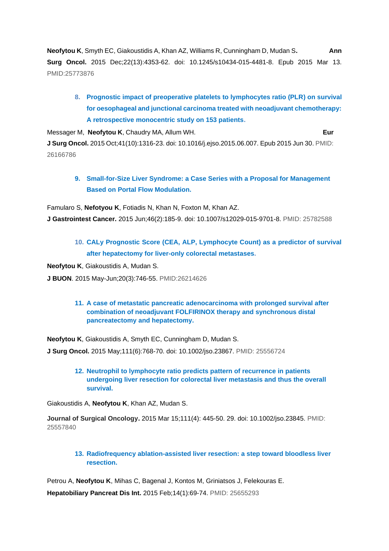**Neofytou K**, Smyth EC, Giakoustidis A, Khan AZ, Williams R, Cunningham D, Mudan S**. Ann Surg Oncol.** 2015 Dec;22(13):4353-62. doi: 10.1245/s10434-015-4481-8. Epub 2015 Mar 13. PMID:25773876

**8. Prognostic impact of preoperative platelets to lymphocytes ratio (PLR) on survival for oesophageal and junctional carcinoma treated with neoadjuvant chemotherapy: A retrospective monocentric study on 153 patients.**

Messager M, **Neofytou K**, Chaudry MA, Allum WH. **Eur J Surg Oncol.** 2015 Oct;41(10):1316-23. doi: 10.1016/j.ejso.2015.06.007. Epub 2015 Jun 30. PMID: 26166786

**9. Small-for-Size Liver Syndrome: a Case Series with a Proposal for Management Based on Portal Flow Modulation.**

Famularo S, **Nefotyou K**, Fotiadis N, Khan N, Foxton M, Khan AZ. **J Gastrointest Cancer.** 2015 Jun;46(2):185-9. doi: 10.1007/s12029-015-9701-8. PMID: 25782588

**10. CALy Prognostic Score (CEA, ALP, Lymphocyte Count) as a predictor of survival after hepatectomy for liver-only colorectal metastases.**

**Neofytou K**, Giakoustidis A, Mudan S.

**J BUON**. 2015 May-Jun;20(3):746-55. PMID:26214626

**11. A case of metastatic pancreatic adenocarcinoma with prolonged survival after combination of neoadjuvant FOLFIRINOX therapy and synchronous distal pancreatectomy and hepatectomy.**

**Neofytou K**, Giakoustidis A, Smyth EC, Cunningham D, Mudan S.

**J Surg Oncol.** 2015 May;111(6):768-70. doi: 10.1002/jso.23867. PMID: 25556724

**12. Neutrophil to lymphocyte ratio predicts pattern of recurrence in patients undergoing liver resection for colorectal liver metastasis and thus the overall survival.** 

Giakoustidis A, **Neofytou K**, Khan AZ, Mudan S.

**Journal of Surgical Oncology.** 2015 Mar 15;111(4): 445-50. 29. doi: 10.1002/jso.23845. PMID: 25557840

**13. Radiofrequency ablation-assisted liver resection: a step toward bloodless liver resection.**

Petrou A, **Neofytou K**, Mihas C, Bagenal J, Kontos M, Griniatsos J, Felekouras E. **Hepatobiliary Pancreat Dis Int.** 2015 Feb;14(1):69-74. PMID: 25655293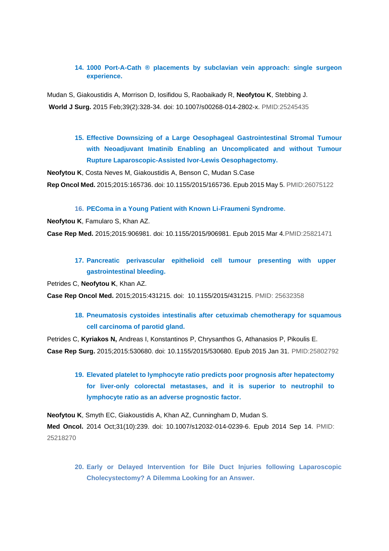#### **14. 1000 Port-A-Cath ® placements by subclavian vein approach: single surgeon experience.**

Mudan S, Giakoustidis A, Morrison D, Iosifidou S, Raobaikady R, **Neofytou K**, Stebbing J. **World J Surg.** 2015 Feb;39(2):328-34. doi: 10.1007/s00268-014-2802-x. PMID:25245435

> **15. Effective Downsizing of a Large Oesophageal Gastrointestinal Stromal Tumour with Neoadjuvant Imatinib Enabling an Uncomplicated and without Tumour Rupture Laparoscopic-Assisted Ivor-Lewis Oesophagectomy.**

**Neofytou K**, Costa Neves M, Giakoustidis A, Benson C, Mudan S.Case

**Rep Oncol Med.** 2015;2015:165736. doi: 10.1155/2015/165736. Epub 2015 May 5. PMID:26075122

**16. PEComa in a Young Patient with Known Li-Fraumeni Syndrome.**

**Neofytou K**, Famularo S, Khan AZ.

**Case Rep Med.** 2015;2015:906981. doi: 10.1155/2015/906981. Epub 2015 Mar 4.PMID:25821471

### **17. Pancreatic perivascular epithelioid cell tumour presenting with upper gastrointestinal bleeding.**

Petrides C, **Neofytou K**, Khan AZ.

**Case Rep Oncol Med.** 2015;2015:431215. doi: 10.1155/2015/431215. PMID: 25632358

**18. Pneumatosis cystoides intestinalis after cetuximab chemotherapy for squamous cell carcinoma of parotid gland.**

Petrides C, **Kyriakos N,** Andreas I, Konstantinos P, Chrysanthos G, Athanasios P, Pikoulis E. **Case Rep Surg.** 2015;2015:530680. doi: 10.1155/2015/530680. Epub 2015 Jan 31. PMID:25802792

**19. Elevated platelet to lymphocyte ratio predicts poor prognosis after hepatectomy for liver-only colorectal metastases, and it is superior to neutrophil to lymphocyte ratio as an adverse prognostic factor.** 

**Neofytou K**, Smyth EC, Giakoustidis A, Khan AZ, Cunningham D, Mudan S. **Med Oncol.** 2014 Oct;31(10):239. doi: 10.1007/s12032-014-0239-6. Epub 2014 Sep 14. PMID: 25218270

**20. Early or Delayed Intervention for Bile Duct Injuries following Laparoscopic Cholecystectomy? A Dilemma Looking for an Answer.**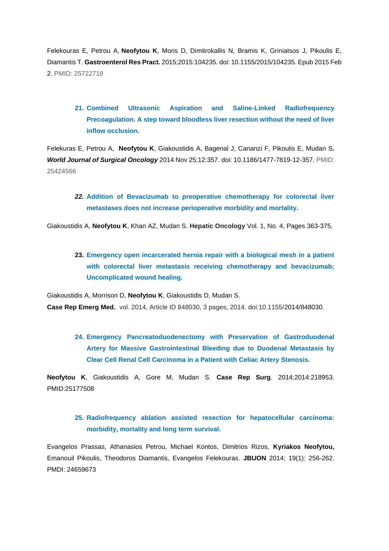Felekouras E, Petrou A, **Neofytou K**, Moris D, Dimitrokallis N, Bramis K, Griniatsos J, Pikoulis E, Diamantis T. **Gastroenterol Res Pract.** 2015;2015:104235. doi: 10.1155/2015/104235. Epub 2015 Feb 2. PMID: 25722718

**21. Combined Ultrasonic Aspiration and Saline-Linked Radiofrequency Precoagulation. A step toward bloodless liver resection without the need of liver inflow occlusion.**

Felekuras E, Petrou A, **Neofytou K**, Giakoustidis A, Bagenal J, Cananzi F, Pikoulis E, Mudan S**.** *World Journal of Surgical Oncology* 2014 Nov 25;12:357. doi: 10.1186/1477-7819-12-357. PMID: 25424566

*22.* **Addition of Bevacizumab to preoperative chemotherapy for colorectal liver metastases does not increase perioperative morbidity and mortality.**

Giakoustidis A, **Neofytou K**, Khan AZ, Mudan S. **Hepatic Oncology** Vol. 1, No. 4, Pages 363-375.

**23. Emergency open incarcerated hernia repair with a biological mesh in a patient with colorectal liver metastasis receiving chemotherapy and bevacizumab; Uncomplicated wound healing.** 

Giakoustidis A, Morrison D, **Neofytou K**, Giakoustidis D, Mudan S.

**Case Rep Emerg Med.** vol. 2014, Article ID 848030, 3 pages, 2014. doi:10.1155/2014/848030.

**24. Emergency Pancreatoduodenectomy with Preservation of Gastroduodenal Artery for Massive Gastrointestinal Bleeding due to Duodenal Metastasis by Clear Cell Renal Cell Carcinoma in a Patient with Celiac Artery Stenosis.** 

**Neofytou K**, Giakoustidis A, Gore M, Mudan S. **Case Rep Surg**. 2014;2014:218953. PMID:25177508

### **25. Radiofrequency ablation assisted resection for hepatocellular carcinoma: morbidity, mortality and long term survival.**

Evangelos Prassas, Athanasios Petrou, Michael Kontos, Dimitrios Rizos, **Kyriakos Neofytou,** Emanouil Pikoulis, Theodoros Diamantis, Evangelos Felekouras. **JBUON** 2014; 19(1): 256-262. PMDI: 24659673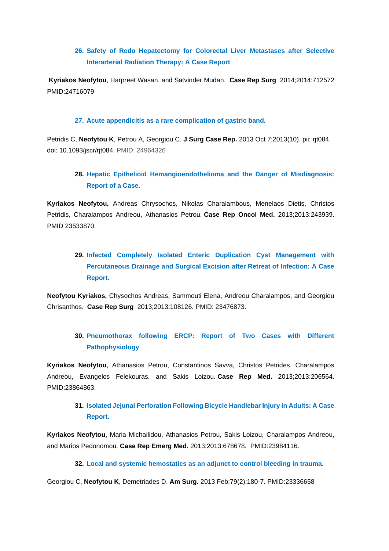### **26. Safety of Redo Hepatectomy for Colorectal Liver Metastases after Selective Interarterial Radiation Therapy: A Case Report**

.**Kyriakos Neofytou**, Harpreet Wasan, and Satvinder Mudan. **Case Rep Surg** 2014;2014:712572 PMID:24716079

#### **27. Acute appendicitis as a rare complication of gastric band.**

Petridis C, **Neofytou K**, Petrou A, Georgiou C. **J Surg Case Rep.** 2013 Oct 7;2013(10). pii: rjt084. doi: 10.1093/jscr/rjt084. PMID: 24964326

### **28. Hepatic Epithelioid Hemangioendothelioma and the Danger of Misdiagnosis: Report of a Case.**

**Kyriakos Neofytou,** Andreas Chrysochos, Nikolas Charalambous, Menelaos Dietis, Christos Petridis, Charalampos Andreou, Athanasios Petrou. **Case Rep Oncol Med.** 2013;2013:243939. PMID 23533870.

# **29. Infected Completely Isolated Enteric Duplication Cyst Management with Percutaneous Drainage and Surgical Excision after Retreat of Infection: A Case Report.**

**Neofytou Kyriakos,** Chysochos Andreas, Sammouti Elena, Andreou Charalampos, and Georgiou Chrisanthos. **Case Rep Surg** 2013;2013:108126. PMID: 23476873.

### **30. Pneumothorax following ERCP: Report of Two Cases with Different Pathophysiology**.

**Kyriakos Neofytou**, Athanasios Petrou, Constantinos Savva, Christos Petrides, Charalampos Andreou, Evangelos Felekouras, and Sakis Loizou. **Case Rep Med.** 2013;2013:206564. PMID:23864863.

### **31. Isolated Jejunal Perforation Following Bicycle Handlebar Injury in Adults: A Case Report.**

**Kyriakos Neofytou**, Maria Michailidou, Athanasios Petrou, Sakis Loizou, Charalampos Andreou, and Marios Pedonomou. **Case Rep Emerg Med.** 2013;2013:678678. PMID:23984116.

#### **32. Local and systemic hemostatics as an adjunct to control bleeding in trauma.**

Georgiou C, **Neofytou K**, Demetriades D. **Am Surg.** 2013 Feb;79(2):180-7. PMID:23336658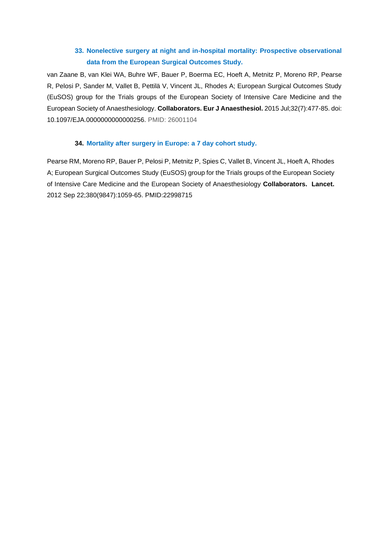### **33. Nonelective surgery at night and in-hospital mortality: Prospective observational data from the European Surgical Outcomes Study.**

van Zaane B, van Klei WA, Buhre WF, Bauer P, Boerma EC, Hoeft A, Metnitz P, Moreno RP, Pearse R, Pelosi P, Sander M, Vallet B, Pettilä V, Vincent JL, Rhodes A; European Surgical Outcomes Study (EuSOS) group for the Trials groups of the European Society of Intensive Care Medicine and the European Society of Anaesthesiology. **[Collaborators.](http://www.ncbi.nlm.nih.gov/pubmed/?term=neophytou+k) Eur J Anaesthesiol.** 2015 Jul;32(7):477-85. doi: 10.1097/EJA.0000000000000256. PMID: 26001104

#### **34. Mortality after surgery in Europe: a 7 day cohort study.**

Pearse RM, Moreno RP, Bauer P, Pelosi P, Metnitz P, Spies C, Vallet B, Vincent JL, Hoeft A, Rhodes A; European Surgical Outcomes Study (EuSOS) group for the Trials groups of the European Society of Intensive Care Medicine and the European Society of Anaesthesiology **[Collaborators.](http://www.ncbi.nlm.nih.gov/pubmed/?term=neophytou+k) Lancet.** 2012 Sep 22;380(9847):1059-65. PMID:22998715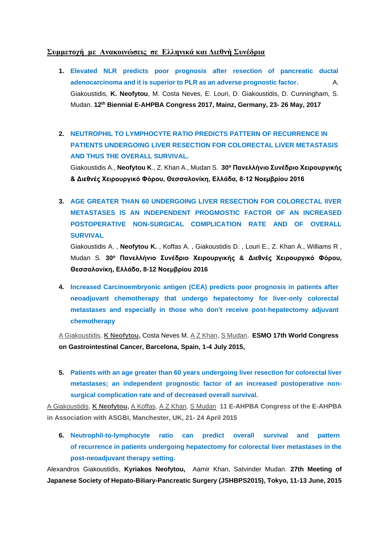#### **Συμμετοχή με Ανακοινώσεις σε Ελληνικά και Διεθνή Συνέδρια**

- **1. Elevated NLR predicts poor prognosis after resection of pancreatic ductal adenocarcinoma and it is superior to PLR as an adverse prognostic factor.** A. Giakoustidis, **K. Neofytou**, M. Costa Neves, E. Louri, D. Giakoustidis, D. Cunningham, S. Mudan. **12th Biennial E-AHPBA Congress 2017, Mainz, Germany, 23- 26 May, 2017**
- **2. NEUTROPHIL TO LYMPHOCYTE RATIO PREDICTS PATTERN OF RECURRENCE IN PATIENTS UNDERGOING LIVER RESECTION FOR COLORECTAL LIVER METASTASIS AND THUS THE OVERALL SURVIVAL.**

Giakoustidis A., **Neofytou K**., Z. Khan A., Mudan S. **30<sup>ο</sup> Πανελλήνιο Συνέδριο Χειρουργικής & Διεθνές Χειρουργικό Φόρου, Θεσσαλονίκη, Ελλάδα, 8-12 Νοεμβρίου 2016**

**3. AGE GREATER THAN 60 UNDERGOING LIVER RESECTION FOR COLORECTAL lIVER METASTASES IS AN INDEPENDENT PROGMOSTIC FACTOR OF AN INCREASED POSTOPERATIVE NON-SURGICAL COMPLICATION RATE AND OF OVERALL SURVIVAL**

Giakoustidis A. , **Neofytou K.** , Koffas A. , Giakoustidis D. , Louri E., Z. Khan A., Williams R , Mudan S. **30<sup>ο</sup> Πανελλήνιο Συνέδριο Χειρουργικής & Διεθνές Χειρουργικό Φόρου, Θεσσαλονίκη, Ελλάδα, 8-12 Νοεμβρίου 2016**

**4. Increased Carcinoembryonic antigen (CEA) predicts poor prognosis in patients after neoadjuvant chemotherapy that undergo hepatectomy for liver-only colorectal metastases and especially in those who don't receive post-hepatectomy adjuvant chemotherapy** 

[A Giakoustidis,](http://www.epostersonline.com/eahpba2015/node/142) **[K Neofytou,](http://www.epostersonline.com/eahpba2015/node/144)** Costa Neves M, [A Z Khan,](http://www.epostersonline.com/eahpba2015/node/148) [S Mudan.](http://www.epostersonline.com/eahpba2015/node/149) **ESMO 17th World Congress on Gastrointestinal Cancer, Barcelona, Spain, 1-4 July 2015,** 

**5. Patients with an age greater than 60 years undergoing liver resection for colorectal liver metastases; an independent prognostic factor of an increased postoperative nonsurgical complication rate and of decreased overall survival.** 

[A Giakoustidis,](http://www.epostersonline.com/eahpba2015/node/142) **[K Neofytou,](http://www.epostersonline.com/eahpba2015/node/144)** [A Koffas,](http://www.epostersonline.com/eahpba2015/node/146) [A Z Khan,](http://www.epostersonline.com/eahpba2015/node/148) [S Mudan](http://www.epostersonline.com/eahpba2015/node/149) **11 E-AHPBA Congress of the E-AHPBA in Association with ASGBI, Manchester, UK, 21- 24 April 2015** 

**6. Neutrophil-to-lymphocyte ratio can predict overall survival and pattern of recurrence in patients undergoing hepatectomy for colorectal liver metastases in the post-neoadjuvant therapy setting.** 

Alexandros Giakoustidis, **Kyriakos Neofytou,** Aamir Khan, Satvinder Mudan. **27th Meeting of Japanese Society of Hepato-Biliary-Pancreatic Surgery (JSHBPS2015), Tokyo, 11-13 June, 2015**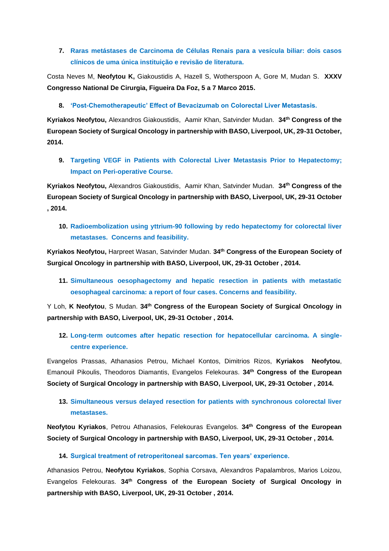### **7. Raras metástases de Carcinoma de Células Renais para a vesícula biliar: dois casos clínicos de uma única instituição e revisão de literatura.**

Costa Neves M, **Neofytou K,** Giakoustidis A, Hazell S, Wotherspoon A, Gore M, Mudan S. **XXXV Congresso National De Cirurgia, Figueira Da Foz, 5 a 7 Marco 2015.**

#### **8. 'Post-Chemotherapeutic' Effect of Bevacizumab on Colorectal Liver Metastasis.**

**Kyriakos Neofytou,** Alexandros Giakoustidis, Aamir Khan, Satvinder Mudan. **34th Congress of the European Society of Surgical Oncology in partnership with BASO, Liverpool, UK, 29-31 October, 2014.**

**9. Targeting VEGF in Patients with Colorectal Liver Metastasis Prior to Hepatectomy; Impact on Peri-operative Course.**

**Kyriakos Neofytou,** Alexandros Giakoustidis, Aamir Khan, Satvinder Mudan. **34th Congress of the European Society of Surgical Oncology in partnership with BASO, Liverpool, UK, 29-31 October , 2014.**

**10. Radioembolization using yttrium-90 following by redo hepatectomy for colorectal liver metastases. Concerns and feasibility.**

**Kyriakos Neofytou,** Harpreet Wasan, Satvinder Mudan. **34th Congress of the European Society of Surgical Oncology in partnership with BASO, Liverpool, UK, 29-31 October , 2014.**

**11. Simultaneous oesophagectomy and hepatic resection in patients with metastatic oesophageal carcinoma: a report of four cases. Concerns and feasibility.**

Y Loh, **K Neofytou**, S Mudan. **34th Congress of the European Society of Surgical Oncology in partnership with BASO, Liverpool, UK, 29-31 October , 2014.**

**12. Long-term outcomes after hepatic resection for hepatocellular carcinoma. A singlecentre experience.**

Evangelos Prassas, Athanasios Petrou, Michael Kontos, Dimitrios Rizos, **Kyriakos Neofytou**, Emanouil Pikoulis, Theodoros Diamantis, Evangelos Felekouras. **34th Congress of the European Society of Surgical Oncology in partnership with BASO, Liverpool, UK, 29-31 October , 2014.**

**13. Simultaneous versus delayed resection for patients with synchronous colorectal liver metastases.**

**Neofytou Kyriakos**, Petrou Athanasios, Felekouras Evangelos. **34th Congress of the European Society of Surgical Oncology in partnership with BASO, Liverpool, UK, 29-31 October , 2014.**

#### **14. Surgical treatment of retroperitoneal sarcomas. Ten years' experience.**

Athanasios Petrou, **Neofytou Kyriakos**, Sophia Corsava, Alexandros Papalambros, Marios Loizou, Evangelos Felekouras. **34th Congress of the European Society of Surgical Oncology in partnership with BASO, Liverpool, UK, 29-31 October , 2014.**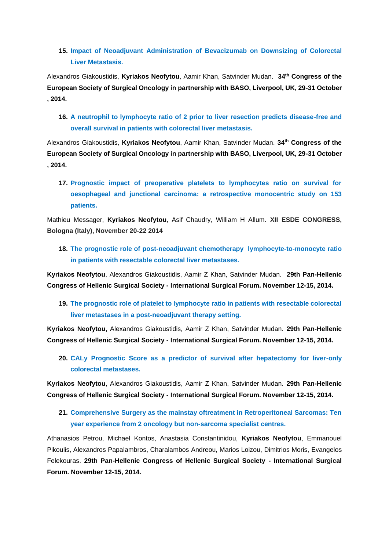**15. Impact of Neoadjuvant Administration of Bevacizumab on Downsizing of Colorectal Liver Metastasis.**

Alexandros Giakoustidis, **Kyriakos Neofytou**, Aamir Khan, Satvinder Mudan. **34th Congress of the European Society of Surgical Oncology in partnership with BASO, Liverpool, UK, 29-31 October , 2014.**

**16. A neutrophil to lymphocyte ratio of 2 prior to liver resection predicts disease-free and overall survival in patients with colorectal liver metastasis.**

Alexandros Giakoustidis, **Kyriakos Neofytou**, Aamir Khan, Satvinder Mudan. **34th Congress of the European Society of Surgical Oncology in partnership with BASO, Liverpool, UK, 29-31 October , 2014.**

**17. Prognostic impact of preoperative platelets to lymphocytes ratio on survival for oesophageal and junctional carcinoma: a retrospective monocentric study on 153 patients.**

Mathieu Messager, **Kyriakos Neofytou**, Asif Chaudry, William H Allum. **XII ESDE CONGRESS, Bologna (Italy), November 20-22 2014** 

**18. The prognostic role of post-neoadjuvant chemotherapy lymphocyte-to-monocyte ratio in patients with resectable colorectal liver metastases.**

**Kyriakos Neofytou**, Alexandros Giakoustidis, Aamir Z Khan, Satvinder Mudan. **29th Pan-Hellenic Congress of Hellenic Surgical Society - International Surgical Forum. November 12-15, 2014.**

**19. The prognostic role of platelet to lymphocyte ratio in patients with resectable colorectal liver metastases in a post-neoadjuvant therapy setting.**

**Kyriakos Neofytou**, Alexandros Giakoustidis, Aamir Z Khan, Satvinder Mudan. **29th Pan-Hellenic Congress of Hellenic Surgical Society - International Surgical Forum. November 12-15, 2014.**

**20. CALy Prognostic Score as a predictor of survival after hepatectomy for liver-only colorectal metastases.** 

**Kyriakos Neofytou**, Alexandros Giakoustidis, Aamir Z Khan, Satvinder Mudan. **29th Pan-Hellenic Congress of Hellenic Surgical Society - International Surgical Forum. November 12-15, 2014.**

**21. Comprehensive Surgery as the mainstay oftreatment in Retroperitoneal Sarcomas: Ten year experience from 2 oncology but non-sarcoma specialist centres.** 

Athanasios Petrou, Michael Kontos, Anastasia Constantinidou, **Kyriakos Neofytou**, Emmanouel Pikoulis, Alexandros Papalambros, Charalambos Andreou, Marios Loizou, Dimitrios Moris, Evangelos Felekouras. **29th Pan-Hellenic Congress of Hellenic Surgical Society - International Surgical Forum. November 12-15, 2014.**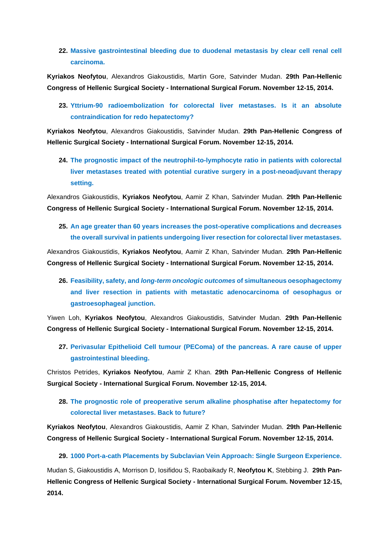### **22. Massive gastrointestinal bleeding due to duodenal metastasis by clear cell renal cell carcinoma.**

**Kyriakos Neofytou**, Alexandros Giakoustidis, Martin Gore, Satvinder Mudan. **29th Pan-Hellenic Congress of Hellenic Surgical Society - International Surgical Forum. November 12-15, 2014.**

**23. Yttrium-90 radioembolization for colorectal liver metastases. Is it an absolute contraindication for redo hepatectomy?** 

**Kyriakos Neofytou**, Alexandros Giakoustidis, Satvinder Mudan. **29th Pan-Hellenic Congress of Hellenic Surgical Society - International Surgical Forum. November 12-15, 2014.**

**24. The prognostic impact of the neutrophil-to-lymphocyte ratio in patients with colorectal liver metastases treated with potential curative surgery in a post-neoadjuvant therapy setting.**

Alexandros Giakoustidis, **Kyriakos Neofytou**, Aamir Z Khan, Satvinder Mudan. **29th Pan-Hellenic Congress of Hellenic Surgical Society - International Surgical Forum. November 12-15, 2014.** 

### **25. An age greater than 60 years increases the post-operative complications and decreases the overall survival in patients undergoing liver resection for colorectal liver metastases.**

Alexandros Giakoustidis, **Kyriakos Neofytou**, Aamir Z Khan, Satvinder Mudan. **29th Pan-Hellenic Congress of Hellenic Surgical Society - International Surgical Forum. November 12-15, 2014.**

**26. Feasibility, safety, and** *long***-***term oncologic outcomes* **of simultaneous oesophagectomy and liver resection in patients with metastatic adenocarcinoma of oesophagus or gastroesophageal junction.**

Yiwen Loh, **Kyriakos Neofytou**, Alexandros Giakoustidis, Satvinder Mudan. **29th Pan-Hellenic Congress of Hellenic Surgical Society - International Surgical Forum. November 12-15, 2014.**

**27. Perivasular Epithelioid Cell tumour (PEComa) of the pancreas. A rare cause of upper gastrointestinal bleeding.** 

Christos Petrides, **Kyriakos Neofytou**, Aamir Z Khan. **29th Pan-Hellenic Congress of Hellenic Surgical Society - International Surgical Forum. November 12-15, 2014.** 

**28. The prognostic role of preoperative serum alkaline phosphatise after hepatectomy for colorectal liver metastases. Back to future?**

**Kyriakos Neofytou**, Alexandros Giakoustidis, Aamir Z Khan, Satvinder Mudan. **29th Pan-Hellenic Congress of Hellenic Surgical Society - International Surgical Forum. November 12-15, 2014.**

#### **29. 1000 Port-a-cath Placements by Subclavian Vein Approach: Single Surgeon Experience.**

Mudan S, Giakoustidis A, Morrison D, Iosifidou S, Raobaikady R, **Neofytou K**, Stebbing J. **29th Pan-Hellenic Congress of Hellenic Surgical Society - International Surgical Forum. November 12-15, 2014.**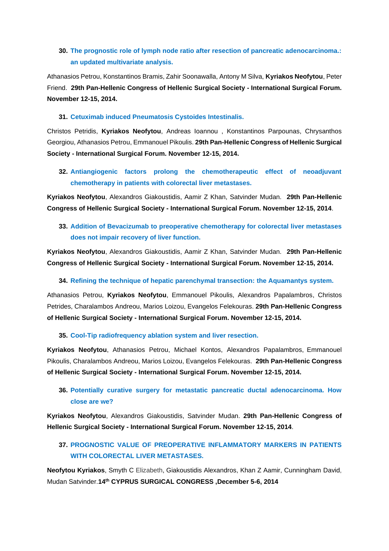### **30. The prognostic role of lymph node ratio after resection of pancreatic adenocarcinoma.: an updated multivariate analysis.**

Athanasios Petrou, Konstantinos Bramis, Zahir Soonawalla, Antony M Silva, **Kyriakos Neofytou**, Peter Friend. **29th Pan-Hellenic Congress of Hellenic Surgical Society - International Surgical Forum. November 12-15, 2014.**

#### **31. Cetuximab induced Pneumatosis Cystoides Intestinalis.**

Christos Petridis, **Kyriakos Neofytou**, Andreas Ioannou , Konstantinos Parpounas, Chrysanthos Georgiou, Athanasios Petrou, Emmanouel Pikoulis. **29th Pan-Hellenic Congress of Hellenic Surgical Society - International Surgical Forum. November 12-15, 2014.** 

**32. Antiangiogenic factors prolong the chemotherapeutic effect of neoadjuvant chemotherapy in patients with colorectal liver metastases.**

**Kyriakos Neofytou**, Alexandros Giakoustidis, Aamir Z Khan, Satvinder Mudan. **29th Pan-Hellenic Congress of Hellenic Surgical Society - International Surgical Forum. November 12-15, 2014**.

### **33. Addition of Bevacizumab to preoperative chemotherapy for colorectal liver metastases does not impair recovery of liver function.**

**Kyriakos Neofytou**, Alexandros Giakoustidis, Aamir Z Khan, Satvinder Mudan. **29th Pan-Hellenic Congress of Hellenic Surgical Society - International Surgical Forum. November 12-15, 2014.**

#### **34. Refining the technique of hepatic parenchymal transection: the Aquamantys system.**

Athanasios Petrou, **Kyriakos Neofytou**, Emmanouel Pikoulis, Alexandros Papalambros, Christos Petrides, Charalambos Andreou, Marios Loizou, Evangelos Felekouras. **29th Pan-Hellenic Congress of Hellenic Surgical Society - International Surgical Forum. November 12-15, 2014.** 

#### **35. Cool-Tip radiofrequency ablation system and liver resection.**

**Kyriakos Neofytou**, Athanasios Petrou, Michael Kontos, Alexandros Papalambros, Emmanouel Pikoulis, Charalambos Andreou, Marios Loizou, Evangelos Felekouras. **29th Pan-Hellenic Congress of Hellenic Surgical Society - International Surgical Forum. November 12-15, 2014.** 

### **36. Potentially curative surgery for metastatic pancreatic ductal adenocarcinoma. How close are we?**

**Kyriakos Neofytou**, Alexandros Giakoustidis, Satvinder Mudan. **29th Pan-Hellenic Congress of Hellenic Surgical Society - International Surgical Forum. November 12-15, 2014**.

### **37. PROGNOSTIC VALUE OF PREOPERATIVE INFLAMMATORY MARKERS IN PATIENTS WITH COLORECTAL LIVER METASTASES.**

**Neofytou Kyriakos**, Smyth C Elizabeth, Giakoustidis Alexandros, Khan Z Aamir, Cunningham David, Mudan Satvinder.**14th CYPRUS SURGICAL CONGRESS ,December 5-6, 2014**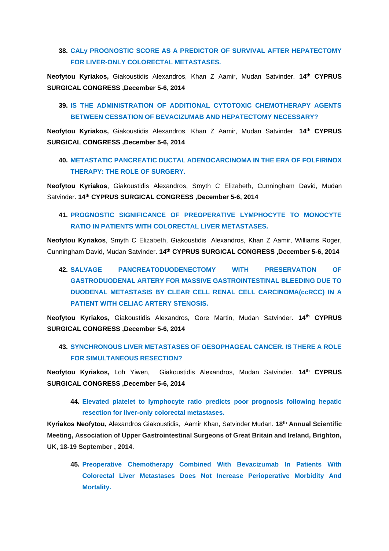#### **38. CALy PROGNOSTIC SCORE AS A PREDICTOR OF SURVIVAL AFTER HEPATECTOMY FOR LIVER-ONLY COLORECTAL METASTASES.**

**Neofytou Kyriakos,** Giakoustidis Alexandros, Khan Z Aamir, Mudan Satvinder. **14th CYPRUS SURGICAL CONGRESS ,December 5-6, 2014**

#### **39. IS THE ADMINISTRATION OF ADDITIONAL CYTOTOXIC CHEMOTHERAPY AGENTS BETWEEN CESSATION OF BEVACIZUMAB AND HEPATECTOMY NECESSARY?**

**Neofytou Kyriakos,** Giakoustidis Alexandros, Khan Z Aamir, Mudan Satvinder. **14th CYPRUS SURGICAL CONGRESS ,December 5-6, 2014**

#### **40. METASTATIC PANCREATIC DUCTAL ADENOCARCINOMA IN THE ERA OF FOLFIRINOX THERAPY: THE ROLE OF SURGERY.**

**Neofytou Kyriakos**, Giakoustidis Alexandros, Smyth C Elizabeth, Cunningham David, Mudan Satvinder. **14th CYPRUS SURGICAL CONGRESS ,December 5-6, 2014**

### **41. PROGNOSTIC SIGNIFICANCE OF PREOPERATIVE LYMPHOCYTE TO MONOCYTE RATIO IN PATIENTS WITH COLORECTAL LIVER METASTASES.**

**Neofytou Kyriakos**, Smyth C Elizabeth, Giakoustidis Alexandros, Khan Z Aamir, Williams Roger, Cunningham David, Mudan Satvinder. **14th CYPRUS SURGICAL CONGRESS ,December 5-6, 2014**

# **42. SALVAGE PANCREATODUODENECTOMY WITH PRESERVATION OF GASTRODUODENAL ARTERY FOR MASSIVE GASTROINTESTINAL BLEEDING DUE TO DUODENAL METASTASIS BY CLEAR CELL RENAL CELL CARCINOMA(ccRCC) IN A PATIENT WITH CELIAC ARTERY STENOSIS.**

**Neofytou Kyriakos,** Giakoustidis Alexandros, Gore Martin, Mudan Satvinder. **14th CYPRUS SURGICAL CONGRESS ,December 5-6, 2014**

### **43. SYNCHRONOUS LIVER METASTASES OF OESOPHAGEAL CANCER. IS THERE A ROLE FOR SIMULTANEOUS RESECTION?**

**Neofytou Kyriakos,** Loh Yiwen, Giakoustidis Alexandros, Mudan Satvinder. **14th CYPRUS SURGICAL CONGRESS ,December 5-6, 2014**

**44. Elevated platelet to lymphocyte ratio predicts poor prognosis following hepatic resection for liver-only colorectal metastases.**

**Kyriakos Neofytou,** Alexandros Giakoustidis, Aamir Khan, Satvinder Mudan. **18th Annual Scientific Meeting, Association of Upper Gastrointestinal Surgeons of Great Britain and Ireland, Brighton, UK, 18-19 September , 2014.**

**45. Preoperative Chemotherapy Combined With Bevacizumab In Patients With Colorectal Liver Metastases Does Not Increase Perioperative Morbidity And Mortality.**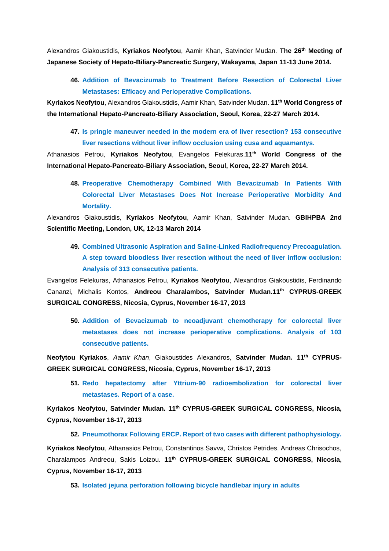Alexandros Giakoustidis, **Kyriakos Neofytou**, Aamir Khan, Satvinder Mudan. **The 26th Meeting of Japanese Society of Hepato-Biliary-Pancreatic Surgery, Wakayama, Japan 11-13 June 2014.**

**46. Addition of Bevacizumab to Treatment Before Resection of Colorectal Liver Metastases: Efficacy and Perioperative Complications.** 

**Kyriakos Neofytou**, Alexandros Giakoustidis, Aamir Khan, Satvinder Mudan. **11th World Congress of the International Hepato-Pancreato-Biliary Association, Seoul, Korea, 22-27 March 2014.**

**47. Is pringle maneuver needed in the modern era of liver resection? 153 consecutive liver resections without liver inflow occlusion using cusa and aquamantys.** 

Athanasios Petrou, **Kyriakos Neofytou**, Evangelos Felekuras.**11th World Congress of the International Hepato-Pancreato-Biliary Association, Seoul, Korea, 22-27 March 2014.**

**48. Preoperative Chemotherapy Combined With Bevacizumab In Patients With Colorectal Liver Metastases Does Not Increase Perioperative Morbidity And Mortality.** 

Alexandros Giakoustidis, **Kyriakos Neofytou**, Aamir Khan, Satvinder Mudan. **GBIHPBA 2nd Scientific Meeting, London, UK, 12-13 March 2014** 

**49. Combined Ultrasonic Aspiration and Saline-Linked Radiofrequency Precoagulation. A step toward bloodless liver resection without the need of liver inflow occlusion: Analysis of 313 consecutive patients.** 

Evangelos Felekuras, Athanasios Petrou, **Kyriakos Neofytou**, Alexandros Giakoustidis, Ferdinando Cananzi, Michalis Kontos, **Andreou Charalambos, Satvinder Mudan.11th CYPRUS-GREEK SURGICAL CONGRESS, Nicosia, Cyprus, November 16-17, 2013** 

**50. Addition of Bevacizumab to neoadjuvant chemotherapy for colorectal liver metastases does not increase perioperative complications. Analysis of 103 consecutive patients.** 

**Neofytou Kyriakos**, *Aamir Khan*, Giakoustides Alexandros, **Satvinder Mudan. 11th CYPRUS-GREEK SURGICAL CONGRESS, Nicosia, Cyprus, November 16-17, 2013**

**51. Redo hepatectomy after Yttrium-90 radioembolization for colorectal liver metastases. Report of a case.** 

**Kyriakos Neofytou**, **Satvinder Mudan. 11th CYPRUS-GREEK SURGICAL CONGRESS, Nicosia, Cyprus, November 16-17, 2013**

**52. Pneumothorax Following ERCP. Report of two cases with different pathophysiology. Kyriakos Neofytou**, Athanasios Petrou, Constantinos Savva, Christos Petrides, Andreas Chrisochos, Charalampos Andreou, Sakis Loizou. **11th CYPRUS-GREEK SURGICAL CONGRESS, Nicosia, Cyprus, November 16-17, 2013**

**53. Isolated jejuna perforation following bicycle handlebar injury in adults**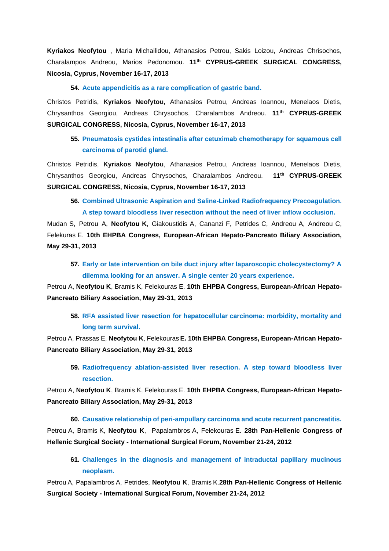**Kyriakos Neofytou** , Maria Michailidou, Athanasios Petrou, Sakis Loizou, Andreas Chrisochos, Charalampos Andreou, Marios Pedonomou. **11th CYPRUS-GREEK SURGICAL CONGRESS, Nicosia, Cyprus, November 16-17, 2013**

#### **54. Acute appendicitis as a rare complication of gastric band.**

Christos Petridis, **Kyriakos Neofytou,** Athanasios Petrou, Andreas Ioannou, Menelaos Dietis, Chrysanthos Georgiou, Andreas Chrysochos, Charalambos Andreou. **11th CYPRUS-GREEK SURGICAL CONGRESS, Nicosia, Cyprus, November 16-17, 2013**

**55. Pneumatosis cystides intestinalis after cetuximab chemotherapy for squamous cell carcinoma of parotid gland.** 

Christos Petridis, **Kyriakos Neofytou**, Athanasios Petrou, Andreas Ioannou, Menelaos Dietis, Chrysanthos Georgiou, Andreas Chrysochos, Charalambos Andreou. **11th CYPRUS-GREEK SURGICAL CONGRESS, Nicosia, Cyprus, November 16-17, 2013**

**56. Combined Ultrasonic Aspiration and Saline-Linked Radiofrequency Precoagulation. A step toward bloodless liver resection without the need of liver inflow occlusion.** 

Mudan S, Petrou A, **Neofytou K**, Giakoustidis A, Cananzi F, Petrides C, Andreou A, Andreou C, Felekuras E. **10th EHPBA Congress, European-African Hepato-Pancreato Biliary Association, May 29-31, 2013** 

**57. Early or late intervention on bile duct injury after laparoscopic cholecystectomy? A dilemma looking for an answer. A single center 20 years experience.**

Petrou A, **Neofytou K**, Bramis K, Felekouras E. **10th EHPBA Congress, European-African Hepato-Pancreato Biliary Association, May 29-31, 2013**

**58. RFA assisted liver resection for hepatocellular carcinoma: morbidity, mortality and long term survival.**

Petrou A, Prassas E, **Neofytou K**, Felekouras **E. 10th EHPBA Congress, European-African Hepato-Pancreato Biliary Association, May 29-31, 2013** 

**59. Radiofrequency ablation-assisted liver resection. A step toward bloodless liver resection.**

Petrou A, **Neofytou K**, Bramis K, Felekouras E. **10th EHPBA Congress, European-African Hepato-Pancreato Biliary Association, May 29-31, 2013** 

**60. Causative relationship of peri-ampullary carcinoma and acute recurrent pancreatitis.** Petrou A, Bramis K, **Neofytou K**, Papalambros A, Felekouras E. **28th Pan-Hellenic Congress of Hellenic Surgical Society - International Surgical Forum, November 21-24, 2012**

**61. Challenges in the diagnosis and management of intraductal papillary mucinous neoplasm.**

Petrou A, Papalambros A, Petrides, **Neofytou K**, Bramis K.**28th Pan-Hellenic Congress of Hellenic Surgical Society - International Surgical Forum, November 21-24, 2012**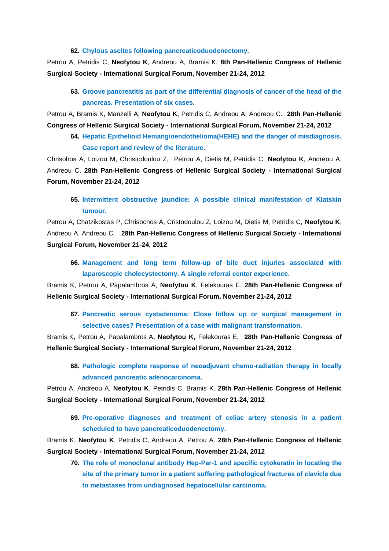**62. Chylous ascites following pancreaticoduodenectomy.** 

Petrou A, Petridis C, **Neofytou K**, Andreou A, Bramis K. **8th Pan-Hellenic Congress of Hellenic Surgical Society - International Surgical Forum, November 21-24, 2012**

**63. Groove pancreatitis as part of the differential diagnosis of cancer of the head of the pancreas. Presentation of six cases.**

Petrou A, Bramis K, Manzelli A, **Neofytou K**, Petridis C, Andreou A, Andreou C. **28th Pan-Hellenic Congress of Hellenic Surgical Society - International Surgical Forum, November 21-24, 2012**

**64. Hepatic Epithelioid Hemangioendothelioma(HEHE) and the danger of misdiagnosis. Case report and review of the literature.** 

Chrisohos A, Loizou M, Christodoulou Z, Petrou A, Dietis M, Petridis C, **Neofytou K**, Andreou A, Andreou C. **28th Pan-Hellenic Congress of Hellenic Surgical Society - International Surgical Forum, November 21-24, 2012**

**65. Intermittent obstructive jaundice: A possible clinical manifestation of Klatskin tumour.**

Petrou A, Chatzikostas P, Chrisochos A, Cristodoulou Z, Loizou M, Dietis M, Petridis C, **Neofytou K**, Andreou A, Andreou C. **28th Pan-Hellenic Congress of Hellenic Surgical Society - International Surgical Forum, November 21-24, 2012**

**66. Management and long term follow-up of bile duct injuries associated with laparoscopic cholecystectomy. A single referral center experience.** 

Bramis K, Petrou A, Papalambros A, **Neofytou K**, Felekouras E. **28th Pan-Hellenic Congress of Hellenic Surgical Society - International Surgical Forum, November 21-24, 2012**

**67. Pancreatic serous cystadenoma: Close follow up or surgical management in selective cases? Presentation of a case with malignant transformation.**

Bramis K, Petrou A, Papalambros A**, Neofytou K**, Felekouras E. **28th Pan-Hellenic Congress of Hellenic Surgical Society - International Surgical Forum, November 21-24, 2012**

**68. Pathologic complete response of neoadjuvant chemo-radiation therapy in locally advanced pancreatic adenocarcinoma.**

Petrou A, Andreou A, **Neofytou K**, Petridis C, Bramis K. **28th Pan-Hellenic Congress of Hellenic Surgical Society - International Surgical Forum, November 21-24, 2012**

**69. Pre-operative diagnoses and treatment of celiac artery stenosis in a patient scheduled to have pancreaticoduodenectomy.**

Bramis K, **Neofytou K**, Petridis C, Andreou A, Petrou A. **28th Pan-Hellenic Congress of Hellenic Surgical Society - International Surgical Forum, November 21-24, 2012**

**70. The role of monoclonal antibody Hep-Par-1 and specific cytokeratin in locating the site of the primary tumor in a patient suffering pathological fractures of clavicle due to metastases from undiagnosed hepatocellular carcinoma.**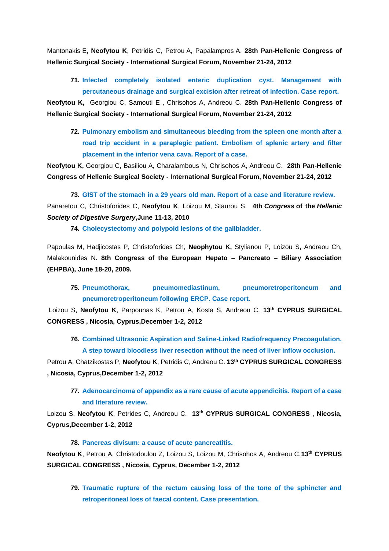Mantonakis E, **Neofytou K**, Petridis C, Petrou A, Papalampros A. **28th Pan-Hellenic Congress of Hellenic Surgical Society - International Surgical Forum, November 21-24, 2012**

**71. Infected completely isolated enteric duplication cyst. Management with percutaneous drainage and surgical excision after retreat of infection. Case report.**

**Neofytou K,** Georgiou C, Samouti E , Chrisohos A, Andreou C. **28th Pan-Hellenic Congress of Hellenic Surgical Society - International Surgical Forum, November 21-24, 2012**

**72. Pulmonary embolism and simultaneous bleeding from the spleen one month after a road trip accident in a paraplegic patient. Embolism of splenic artery and filter placement in the inferior vena cava. Report of a case.**

**Neofytou K,** Georgiou C, Basiliou A, Charalambous N, Chrisohos A, Andreou C. **28th Pan-Hellenic Congress of Hellenic Surgical Society - International Surgical Forum, November 21-24, 2012**

**73. GIST of the stomach in a 29 years old man. Report of a case and literature review.** Panaretou C, Christoforides C, **Neofytou K**, Loizou M, Staurou S. **4th** *Congress* **of the** *Hellenic Society of Digestive Surgery***,June 11-13, 2010**

**74. Cholecystectomy and polypoid lesions of the gallbladder.**

Papoulas M, Hadjicostas P, Christoforides Ch, **Neophytou K,** Stylianou P, Loizou S, Andreou Ch, Malakounides N. **8th Congress of the European Hepato – Pancreato – Biliary Association (EHPBA), June 18-20, 2009.**

**75. Pneumothorax, pneumomediastinum, pneumoretroperitoneum and pneumoretroperitoneum following ERCP. Case report.**

Loizou S, **Neofytou K**, Parpounas K, Petrou A, Kosta S, Andreou C. **13th CYPRUS SURGICAL CONGRESS , Nicosia, Cyprus,December 1-2, 2012**

**76. Combined Ultrasonic Aspiration and Saline-Linked Radiofrequency Precoagulation. A step toward bloodless liver resection without the need of liver inflow occlusion.**

Petrou A, Chatzikostas P, **Neofytou K**, Petridis C, Andreou C. **13th CYPRUS SURGICAL CONGRESS , Nicosia, Cyprus,December 1-2, 2012**

**77. Adenocarcinoma of appendix as a rare cause of acute appendicitis. Report of a case and literature review.**

Loizou S, **Neofytou K**, Petrides C, Andreou C. **13th CYPRUS SURGICAL CONGRESS , Nicosia, Cyprus,December 1-2, 2012**

**78. Pancreas divisum: a cause of acute pancreatitis.**

**Neofytou K**, Petrou A, Christodoulou Z, Loizou S, Loizou M, Chrisohos A, Andreou C.**13th CYPRUS SURGICAL CONGRESS , Nicosia, Cyprus, December 1-2, 2012**

**79. Traumatic rupture of the rectum causing loss of the tone of the sphincter and retroperitoneal loss of faecal content. Case presentation.**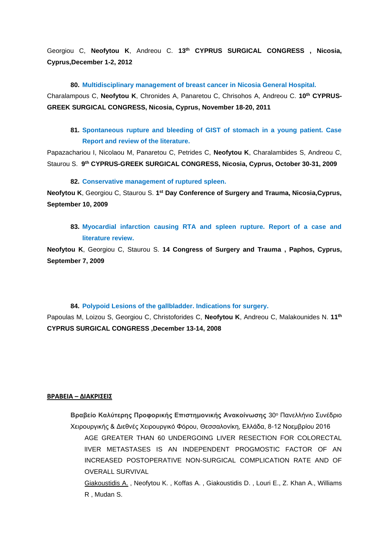Georgiou C, **Neofytou K**, Andreou C. **13th CYPRUS SURGICAL CONGRESS , Nicosia, Cyprus,December 1-2, 2012**

**80. Multidisciplinary management of breast cancer in Nicosia General Hospital.**

Charalampous C, **Neofytou K**, Chronides A, Panaretou C, Chrisohos A, Andreou C. **10th CYPRUS-GREEK SURGICAL CONGRESS, Nicosia, Cyprus, November 18-20, 2011** 

**81. Spontaneous rupture and bleeding of GIST of stomach in a young patient. Case Report and review of the literature.**

Papazachariou I, Nicolaou M, Panaretou C, Petrides C, **Neofytou K**, Charalambides S, Andreou C, Staurou S. **9 th CYPRUS-GREEK SURGICAL CONGRESS, Nicosia, Cyprus, October 30-31, 2009**

#### **82. Conservative management of ruptured spleen.**

**Neofytou K**, Georgiou C, Staurou S. **1 st Day Conference of Surgery and Trauma, Nicosia,Cyprus, September 10, 2009**

**83. Myocardial infarction causing RTA and spleen rupture. Report of a case and literature review.**

**Neofytou K**, Georgiou C, Staurou S. **14 Congress of Surgery and Trauma , Paphos, Cyprus, September 7, 2009** 

#### **84. Polypoid Lesions of the gallbladder. Indications for surgery.**

Papoulas M, Loizou S, Georgiou C, Christoforides C, **Neofytou K**, Andreou C, Malakounides N. **11th CYPRUS SURGICAL CONGRESS ,December 13-14, 2008**

#### **ΒΡΑΒΕΙΑ – ΔΙΑΚΡΙΣΕΙΣ**

**Βραβείο Καλύτερης Προφορικής Επιστημονικής Ανακοίνωσης** 30<sup>ο</sup> Πανελλήνιο Συνέδριο Χειρουργικής & Διεθνές Χειρουργικό Φόρου, Θεσσαλονίκη, Ελλάδα, 8-12 Νοεμβρίου 2016 AGE GREATER THAN 60 UNDERGOING LIVER RESECTION FOR COLORECTAL lIVER METASTASES IS AN INDEPENDENT PROGMOSTIC FACTOR OF AN INCREASED POSTOPERATIVE NON-SURGICAL COMPLICATION RATE AND OF OVERALL SURVIVAL Giakoustidis A. , Neofytou K. , Koffas A. , Giakoustidis D. , Louri E., Z. Khan A., Williams

R , Mudan S.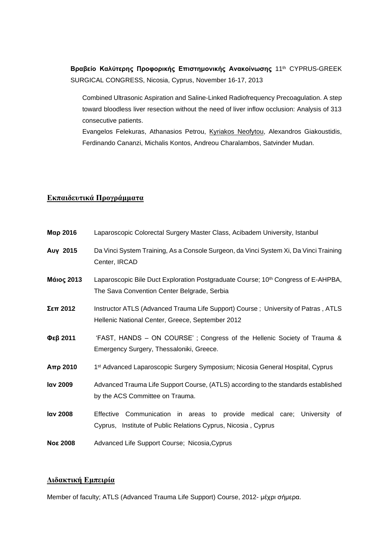**Βραβείο Καλύτερης Προφορικής Επιστημονικής Ανακοίνωσης** 11th CYPRUS-GREEK SURGICAL CONGRESS, Nicosia, Cyprus, November 16-17, 2013

Combined Ultrasonic Aspiration and Saline-Linked Radiofrequency Precoagulation. A step toward bloodless liver resection without the need of liver inflow occlusion: Analysis of 313 consecutive patients.

Evangelos Felekuras, Athanasios Petrou, Kyriakos Neofytou, Alexandros Giakoustidis, Ferdinando Cananzi, Michalis Kontos, Andreou Charalambos, Satvinder Mudan.

#### **Εκπαιδευτικά Προγράμματα**

- **Μαρ 2016** Laparoscopic Colorectal Surgery Master Class, Acibadem University, Istanbul
- **Αυγ 2015** Da Vinci System Training, As a Console Surgeon, da Vinci System Xi, Da Vinci Training Center, IRCAD
- **Μάιος 2013** Laparoscopic Bile Duct Exploration Postgraduate Course; 10th Congress of E-AHPBA, The Sava Convention Center Belgrade, Serbia
- **Σεπ 2012** Instructor ATLS (Advanced Trauma Life Support) Course ; University of Patras , ATLS Hellenic National Center, Greece, September 2012
- **Φεβ 2011** 'FAST, HANDS ON COURSE' ; Congress of the Hellenic Society of Trauma & Emergency Surgery, Thessaloniki, Greece.
- **Απρ 2010** 1 1<sup>st</sup> Advanced Laparoscopic Surgery Symposium; Nicosia General Hospital, Cyprus
- **Ιαν 2009** Advanced Trauma Life Support Course, (ATLS) according to the standards established by the ACS Committee on Trauma.
- **Ιαν 2008** Effective Communication in areas to provide medical care; University of Cyprus, Institute of Public Relations Cyprus, Nicosia , Cyprus
- **Νοε 2008** Advanced Life Support Course; Nicosia,Cyprus

#### **Διδακτική Εμπειρία**

Μember of faculty; ATLS (Advanced Trauma Life Support) Course, 2012- μέχρι σήμερα.